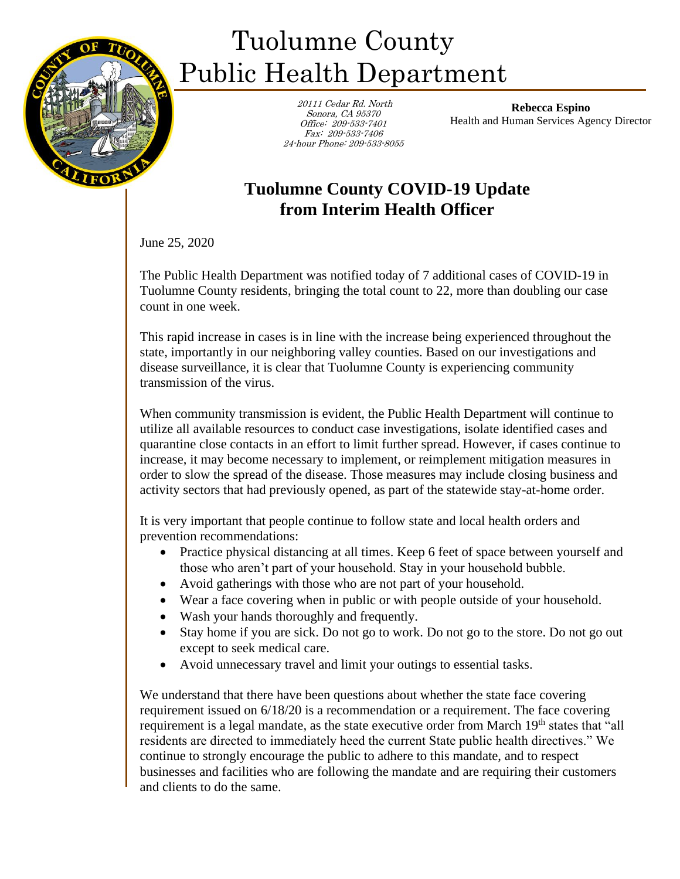

## Tuolumne County Public Health Department

 20111 Cedar Rd. North Sonora, CA 95370 Office: 209-533-7401 Fax: 209-533-7406 24-hour Phone: 209-533-8055

**Rebecca Espino** Health and Human Services Agency Director

## **Tuolumne County COVID-19 Update from Interim Health Officer**

June 25, 2020

The Public Health Department was notified today of 7 additional cases of COVID-19 in Tuolumne County residents, bringing the total count to 22, more than doubling our case count in one week.

This rapid increase in cases is in line with the increase being experienced throughout the state, importantly in our neighboring valley counties. Based on our investigations and disease surveillance, it is clear that Tuolumne County is experiencing community transmission of the virus.

When community transmission is evident, the Public Health Department will continue to utilize all available resources to conduct case investigations, isolate identified cases and quarantine close contacts in an effort to limit further spread. However, if cases continue to increase, it may become necessary to implement, or reimplement mitigation measures in order to slow the spread of the disease. Those measures may include closing business and activity sectors that had previously opened, as part of the statewide stay-at-home order.

It is very important that people continue to follow state and local health orders and prevention recommendations:

- Practice physical distancing at all times. Keep 6 feet of space between yourself and those who aren't part of your household. Stay in your household bubble.
- Avoid gatherings with those who are not part of your household.
- Wear a face covering when in public or with people outside of your household.
- Wash your hands thoroughly and frequently.
- Stay home if you are sick. Do not go to work. Do not go to the store. Do not go out except to seek medical care.
- Avoid unnecessary travel and limit your outings to essential tasks.

We understand that there have been questions about whether the state face covering requirement issued on 6/18/20 is a recommendation or a requirement. The face covering requirement is a legal mandate, as the state executive order from March 19<sup>th</sup> states that "all residents are directed to immediately heed the current State public health directives." We continue to strongly encourage the public to adhere to this mandate, and to respect businesses and facilities who are following the mandate and are requiring their customers and clients to do the same.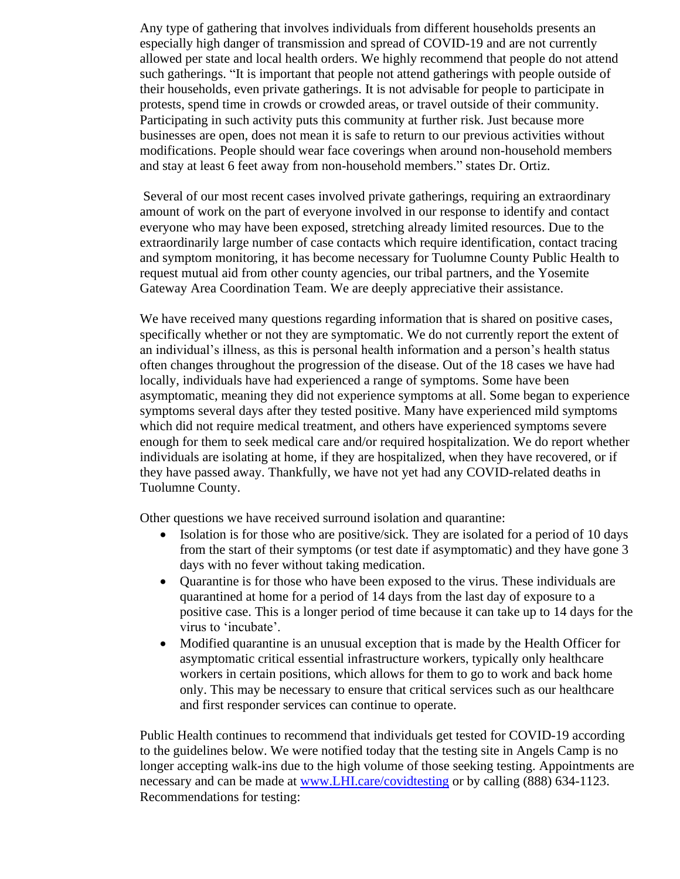Any type of gathering that involves individuals from different households presents an especially high danger of transmission and spread of COVID-19 and are not currently allowed per state and local health orders. We highly recommend that people do not attend such gatherings. "It is important that people not attend gatherings with people outside of their households, even private gatherings. It is not advisable for people to participate in protests, spend time in crowds or crowded areas, or travel outside of their community. Participating in such activity puts this community at further risk. Just because more businesses are open, does not mean it is safe to return to our previous activities without modifications. People should wear face coverings when around non-household members and stay at least 6 feet away from non-household members." states Dr. Ortiz.

Several of our most recent cases involved private gatherings, requiring an extraordinary amount of work on the part of everyone involved in our response to identify and contact everyone who may have been exposed, stretching already limited resources. Due to the extraordinarily large number of case contacts which require identification, contact tracing and symptom monitoring, it has become necessary for Tuolumne County Public Health to request mutual aid from other county agencies, our tribal partners, and the Yosemite Gateway Area Coordination Team. We are deeply appreciative their assistance.

We have received many questions regarding information that is shared on positive cases, specifically whether or not they are symptomatic. We do not currently report the extent of an individual's illness, as this is personal health information and a person's health status often changes throughout the progression of the disease. Out of the 18 cases we have had locally, individuals have had experienced a range of symptoms. Some have been asymptomatic, meaning they did not experience symptoms at all. Some began to experience symptoms several days after they tested positive. Many have experienced mild symptoms which did not require medical treatment, and others have experienced symptoms severe enough for them to seek medical care and/or required hospitalization. We do report whether individuals are isolating at home, if they are hospitalized, when they have recovered, or if they have passed away. Thankfully, we have not yet had any COVID-related deaths in Tuolumne County.

Other questions we have received surround isolation and quarantine:

- Isolation is for those who are positive/sick. They are isolated for a period of 10 days from the start of their symptoms (or test date if asymptomatic) and they have gone 3 days with no fever without taking medication.
- Quarantine is for those who have been exposed to the virus. These individuals are quarantined at home for a period of 14 days from the last day of exposure to a positive case. This is a longer period of time because it can take up to 14 days for the virus to 'incubate'.
- Modified quarantine is an unusual exception that is made by the Health Officer for asymptomatic critical essential infrastructure workers, typically only healthcare workers in certain positions, which allows for them to go to work and back home only. This may be necessary to ensure that critical services such as our healthcare and first responder services can continue to operate.

Public Health continues to recommend that individuals get tested for COVID-19 according to the guidelines below. We were notified today that the testing site in Angels Camp is no longer accepting walk-ins due to the high volume of those seeking testing. Appointments are necessary and can be made at [www.LHI.care/covidtesting](http://www.lhi.care/covidtesting) or by calling (888) 634-1123. Recommendations for testing: